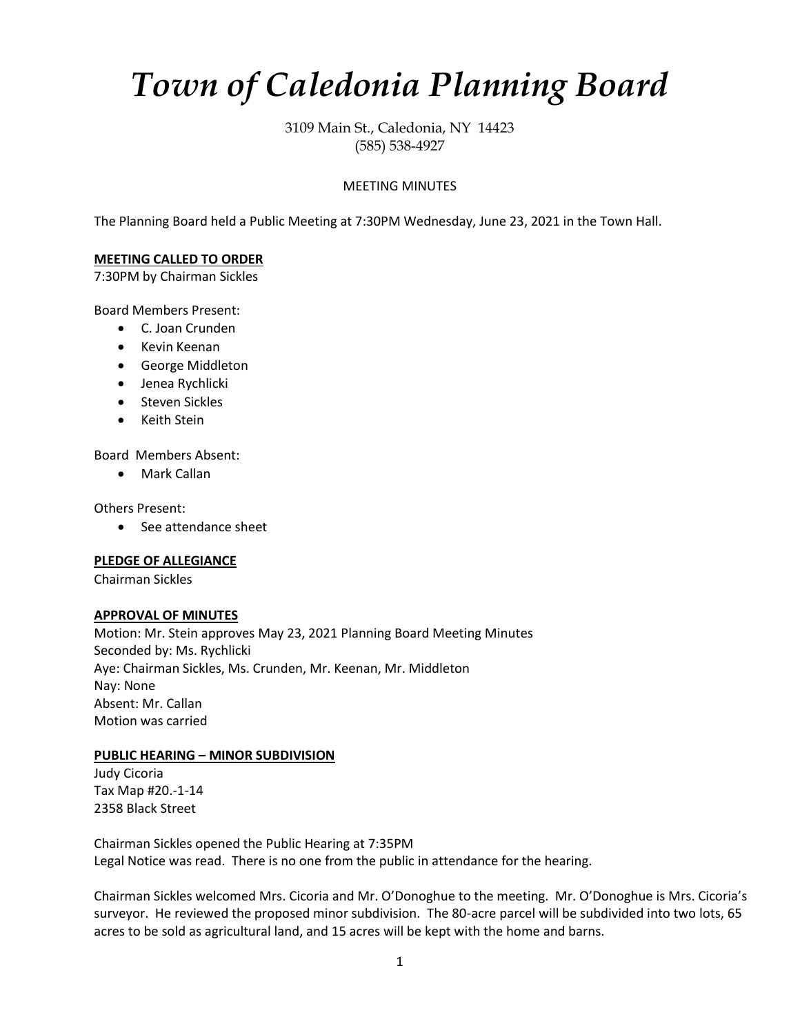# *Town of Caledonia Planning Board*

3109 Main St., Caledonia, NY 14423 (585) 538-4927

## MEETING MINUTES

The Planning Board held a Public Meeting at 7:30PM Wednesday, June 23, 2021 in the Town Hall.

## **MEETING CALLED TO ORDER**

7:30PM by Chairman Sickles

Board Members Present:

- C. Joan Crunden
- Kevin Keenan
- George Middleton
- Jenea Rychlicki
- Steven Sickles
- Keith Stein

Board Members Absent:

• Mark Callan

Others Present:

• See attendance sheet

## **PLEDGE OF ALLEGIANCE**

Chairman Sickles

## **APPROVAL OF MINUTES**

Motion: Mr. Stein approves May 23, 2021 Planning Board Meeting Minutes Seconded by: Ms. Rychlicki Aye: Chairman Sickles, Ms. Crunden, Mr. Keenan, Mr. Middleton Nay: None Absent: Mr. Callan Motion was carried

## **PUBLIC HEARING – MINOR SUBDIVISION**

Judy Cicoria Tax Map #20.-1-14 2358 Black Street

Chairman Sickles opened the Public Hearing at 7:35PM Legal Notice was read. There is no one from the public in attendance for the hearing.

Chairman Sickles welcomed Mrs. Cicoria and Mr. O'Donoghue to the meeting. Mr. O'Donoghue is Mrs. Cicoria's surveyor. He reviewed the proposed minor subdivision. The 80-acre parcel will be subdivided into two lots, 65 acres to be sold as agricultural land, and 15 acres will be kept with the home and barns.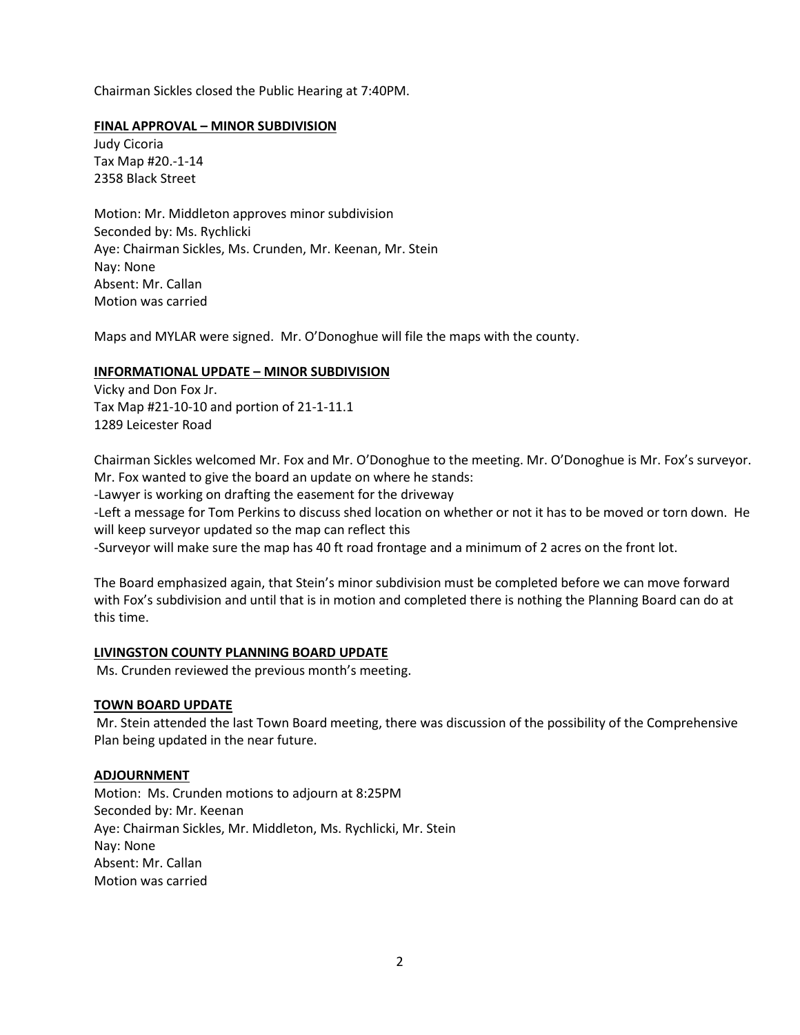Chairman Sickles closed the Public Hearing at 7:40PM.

## **FINAL APPROVAL – MINOR SUBDIVISION**

Judy Cicoria Tax Map #20.-1-14 2358 Black Street

Motion: Mr. Middleton approves minor subdivision Seconded by: Ms. Rychlicki Aye: Chairman Sickles, Ms. Crunden, Mr. Keenan, Mr. Stein Nay: None Absent: Mr. Callan Motion was carried

Maps and MYLAR were signed. Mr. O'Donoghue will file the maps with the county.

## **INFORMATIONAL UPDATE – MINOR SUBDIVISION**

Vicky and Don Fox Jr. Tax Map #21-10-10 and portion of 21-1-11.1 1289 Leicester Road

Chairman Sickles welcomed Mr. Fox and Mr. O'Donoghue to the meeting. Mr. O'Donoghue is Mr. Fox's surveyor. Mr. Fox wanted to give the board an update on where he stands:

-Lawyer is working on drafting the easement for the driveway

-Left a message for Tom Perkins to discuss shed location on whether or not it has to be moved or torn down. He will keep surveyor updated so the map can reflect this

-Surveyor will make sure the map has 40 ft road frontage and a minimum of 2 acres on the front lot.

The Board emphasized again, that Stein's minor subdivision must be completed before we can move forward with Fox's subdivision and until that is in motion and completed there is nothing the Planning Board can do at this time.

## **LIVINGSTON COUNTY PLANNING BOARD UPDATE**

Ms. Crunden reviewed the previous month's meeting.

## **TOWN BOARD UPDATE**

Mr. Stein attended the last Town Board meeting, there was discussion of the possibility of the Comprehensive Plan being updated in the near future.

## **ADJOURNMENT**

Motion: Ms. Crunden motions to adjourn at 8:25PM Seconded by: Mr. Keenan Aye: Chairman Sickles, Mr. Middleton, Ms. Rychlicki, Mr. Stein Nay: None Absent: Mr. Callan Motion was carried